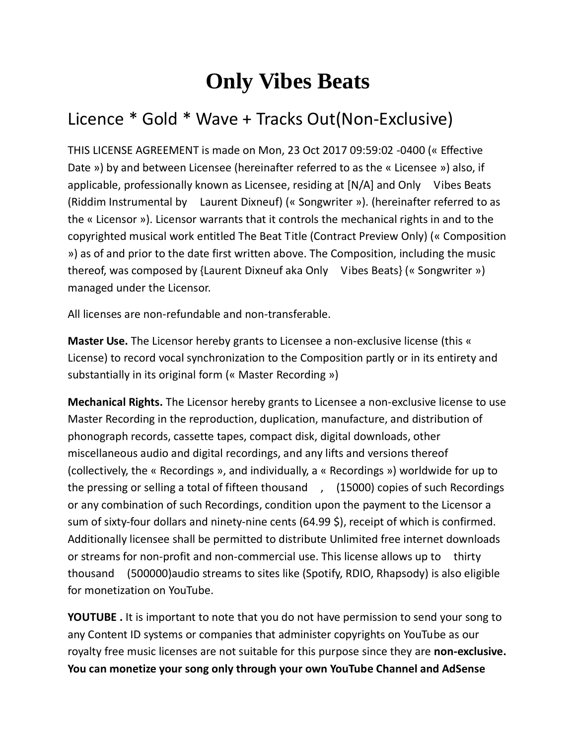## **Only Vibes Beats**

## Licence \* Gold \* Wave + Tracks Out(Non-Exclusive)

THIS LICENSE AGREEMENT is made on Mon, 23 Oct 2017 09:59:02 -0400 (« Effective Date ») by and between Licensee (hereinafter referred to as the « Licensee ») also, if applicable, professionally known as Licensee, residing at [N/A] and Only Vibes Beats (Riddim Instrumental by Laurent Dixneuf) (« Songwriter »). (hereinafter referred to as the « Licensor »). Licensor warrants that it controls the mechanical rights in and to the copyrighted musical work entitled The Beat Title (Contract Preview Only) (« Composition ») as of and prior to the date first written above. The Composition, including the music thereof, was composed by {Laurent Dixneuf aka Only Vibes Beats} (« Songwriter ») managed under the Licensor.

All licenses are non-refundable and non-transferable.

**Master Use.** The Licensor hereby grants to Licensee a non-exclusive license (this « License) to record vocal synchronization to the Composition partly or in its entirety and substantially in its original form (« Master Recording »)

**Mechanical Rights.** The Licensor hereby grants to Licensee a non-exclusive license to use Master Recording in the reproduction, duplication, manufacture, and distribution of phonograph records, cassette tapes, compact disk, digital downloads, other miscellaneous audio and digital recordings, and any lifts and versions thereof (collectively, the « Recordings », and individually, a « Recordings ») worldwide for up to the pressing or selling a total of fifteen thousand , (15000) copies of such Recordings or any combination of such Recordings, condition upon the payment to the Licensor a sum of sixty-four dollars and ninety-nine cents (64.99 \$), receipt of which is confirmed. Additionally licensee shall be permitted to distribute Unlimited free internet downloads or streams for non-profit and non-commercial use. This license allows up to thirty thousand (500000)audio streams to sites like (Spotify, RDIO, Rhapsody) is also eligible for monetization on YouTube.

**YOUTUBE .** It is important to note that you do not have permission to send your song to any Content ID systems or companies that administer copyrights on YouTube as our royalty free music licenses are not suitable for this purpose since they are **non-exclusive. You can monetize your song only through your own YouTube Channel and AdSense**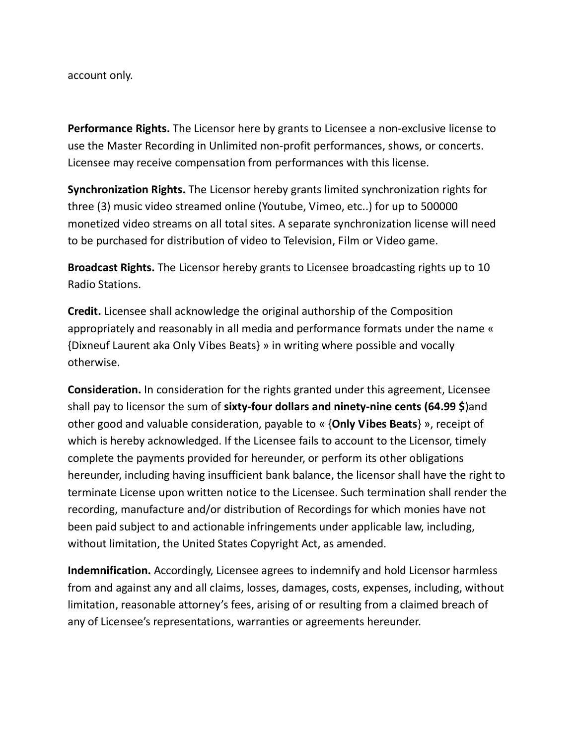## account only.

**Performance Rights.** The Licensor here by grants to Licensee a non-exclusive license to use the Master Recording in Unlimited non-profit performances, shows, or concerts. Licensee may receive compensation from performances with this license.

**Synchronization Rights.** The Licensor hereby grants limited synchronization rights for three (3) music video streamed online (Youtube, Vimeo, etc..) for up to 500000 monetized video streams on all total sites. A separate synchronization license will need to be purchased for distribution of video to Television, Film or Video game.

**Broadcast Rights.** The Licensor hereby grants to Licensee broadcasting rights up to 10 Radio Stations.

**Credit.** Licensee shall acknowledge the original authorship of the Composition appropriately and reasonably in all media and performance formats under the name « {Dixneuf Laurent aka Only Vibes Beats} » in writing where possible and vocally otherwise.

**Consideration.** In consideration for the rights granted under this agreement, Licensee shall pay to licensor the sum of **sixty-four dollars and ninety-nine cents (64.99 \$**)and other good and valuable consideration, payable to « {**Only Vibes Beats**} », receipt of which is hereby acknowledged. If the Licensee fails to account to the Licensor, timely complete the payments provided for hereunder, or perform its other obligations hereunder, including having insufficient bank balance, the licensor shall have the right to terminate License upon written notice to the Licensee. Such termination shall render the recording, manufacture and/or distribution of Recordings for which monies have not been paid subject to and actionable infringements under applicable law, including, without limitation, the United States Copyright Act, as amended.

**Indemnification.** Accordingly, Licensee agrees to indemnify and hold Licensor harmless from and against any and all claims, losses, damages, costs, expenses, including, without limitation, reasonable attorney's fees, arising of or resulting from a claimed breach of any of Licensee's representations, warranties or agreements hereunder.